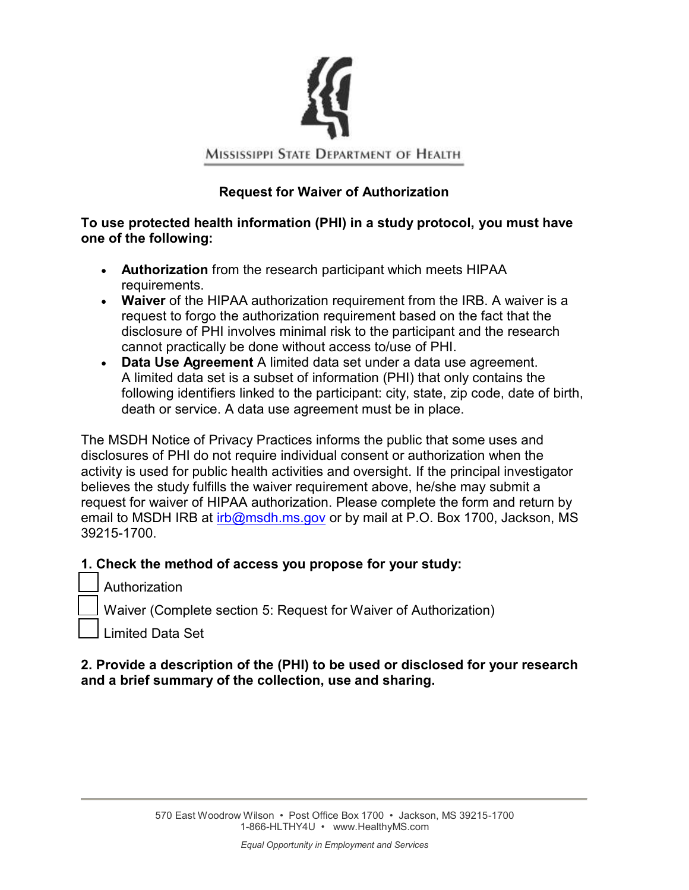

## **Request for Waiver of Authorization**

#### **To use protected health information (PHI) in a study protocol, you must have one of the following:**

- **Authorization** from the research participant which meets HIPAA requirements.
- **Waiver** of the HIPAA authorization requirement from the IRB. A waiver is a request to forgo the authorization requirement based on the fact that the disclosure of PHI involves minimal risk to the participant and the research cannot practically be done without access to/use of PHI.
- **Data Use Agreement** A limited data set under a data use agreement. A limited data set is a subset of information (PHI) that only contains the following identifiers linked to the participant: city, state, zip code, date of birth, death or service. A data use agreement must be in place.

The MSDH Notice of Privacy Practices informs the public that some uses and disclosures of PHI do not require individual consent or authorization when the activity is used for public health activities and oversight. If the principal investigator believes the study fulfills the waiver requirement above, he/she may submit a request for waiver of HIPAA authorization. Please complete the form and return by email to MSDH IRB at irb@msdh.ms.gov or by mail at P.O. Box 1700, Jackson, MS 39215-1700.

### **1. Check the method of access you propose for your study:**

- Authorization
- Waiver (Complete section 5: Request for Waiver of Authorization)
- Limited Data Set

### **2. Provide a description of the (PHI) to be used or disclosed for your research and a brief summary of the collection, use and sharing.**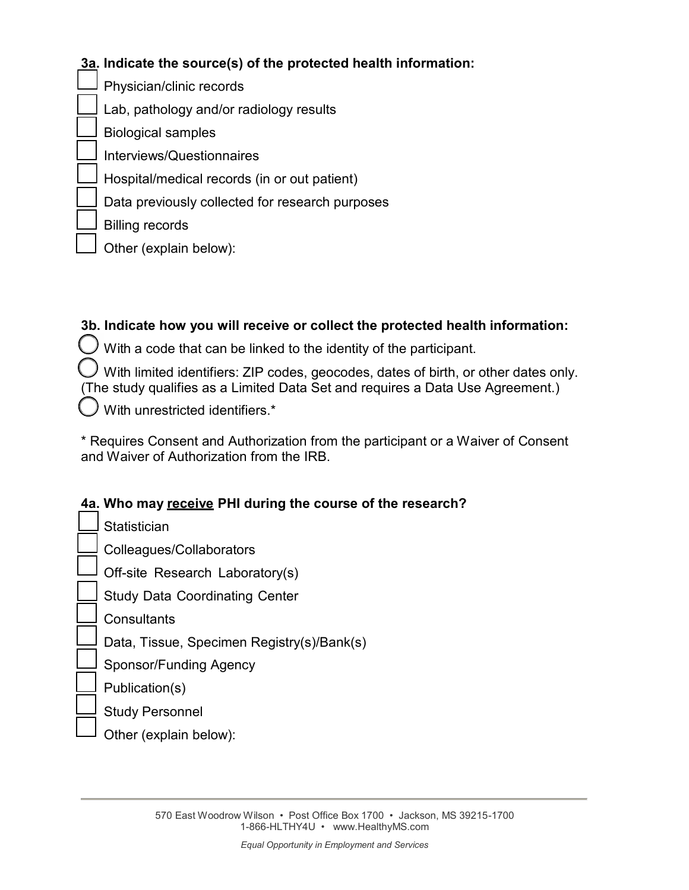# **3a. Indicate the source(s) of the protected health information:**

Physician/clinic records Lab, pathology and/or radiology results Biological samples Interviews/Questionnaires Hospital/medical records (in or out patient) Data previously collected for research purposes Billing records

Other (explain below):

## **3b. Indicate how you will receive or collect the protected health information:**

 $\bigcup$  With a code that can be linked to the identity of the participant.

 $\ell$  With limited identifiers: ZIP codes, geocodes, dates of birth, or other dates only. (The study qualifies as a Limited Data Set and requires a Data Use Agreement.)

With unrestricted identifiers.\*

\* Requires Consent and Authorization from the participant or a Waiver of Consent and Waiver of Authorization from the IRB.

## **4a. Who may receive PHI during the course of the research?**

**Statistician** Colleagues/Collaborators Off-site Research Laboratory(s) Study Data Coordinating Center **Consultants** Data, Tissue, Specimen Registry(s)/Bank(s) Sponsor/Funding Agency Publication(s) Study Personnel Other (explain below):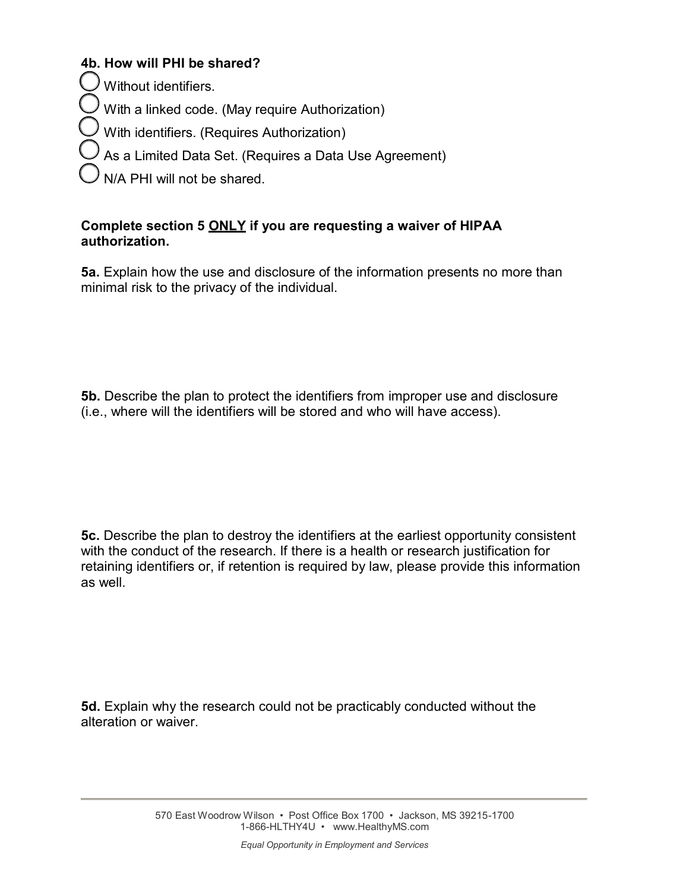## **4b. How will PHI be shared?**

 $\cup$  Without identifiers.

 $\ell$  With a linked code. (May require Authorization)

With identifiers. (Requires Authorization)

As a Limited Data Set. (Requires a Data Use Agreement)

N/A PHI will not be shared.

## **Complete section 5 ONLY if you are requesting a waiver of HIPAA authorization.**

**5a.** Explain how the use and disclosure of the information presents no more than minimal risk to the privacy of the individual.

**5b.** Describe the plan to protect the identifiers from improper use and disclosure (i.e., where will the identifiers will be stored and who will have access).

**5c.** Describe the plan to destroy the identifiers at the earliest opportunity consistent with the conduct of the research. If there is a health or research justification for retaining identifiers or, if retention is required by law, please provide this information as well.

**5d.** Explain why the research could not be practicably conducted without the alteration or waiver.